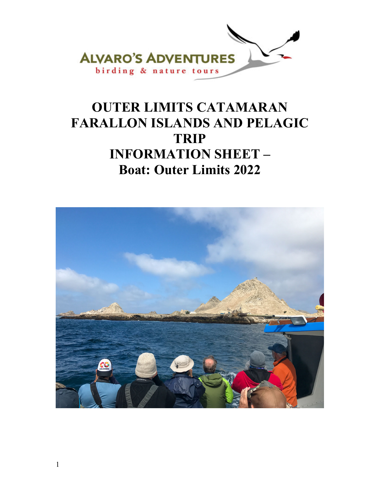

# **OUTER LIMITS CATAMARAN FARALLON ISLANDS AND PELAGIC TRIP INFORMATION SHEET – Boat: Outer Limits 2022**

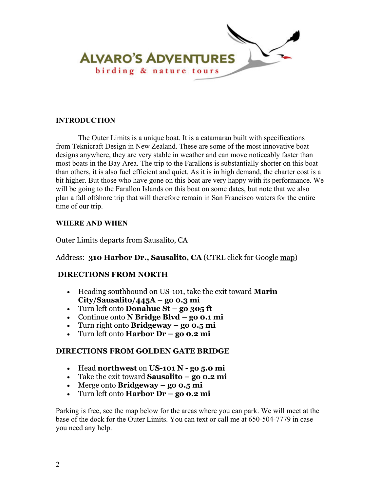

## **INTRODUCTION**

The Outer Limits is a unique boat. It is a catamaran built with specifications from Teknicraft Design in New Zealand. These are some of the most innovative boat designs anywhere, they are very stable in weather and can move noticeably faster than most boats in the Bay Area. The trip to the Farallons is substantially shorter on this boat than others, it is also fuel efficient and quiet. As it is in high demand, the charter cost is a bit higher. But those who have gone on this boat are very happy with its performance. We will be going to the Farallon Islands on this boat on some dates, but note that we also plan a fall offshore trip that will therefore remain in San Francisco waters for the entire time of our trip.

## **WHERE AND WHEN**

Outer Limits departs from Sausalito, CA

## Address: **310 Harbor Dr., Sausalito, CA** (CTRL click for Google map)

## **DIRECTIONS FROM NORTH**

- Heading southbound on US-101, take the exit toward **Marin City/Sausalito/445A – go 0.3 mi**
- Turn left onto **Donahue St go 305 ft**
- Continue onto **N Bridge Blvd go 0.1 mi**
- Turn right onto **Bridgeway go 0.5 mi**
- Turn left onto **Harbor Dr go 0.2 mi**

## **DIRECTIONS FROM GOLDEN GATE BRIDGE**

- Head **northwest** on **US-101 N go 5.0 mi**
- Take the exit toward **Sausalito go 0.2 mi**
- Merge onto **Bridgeway go 0.5 mi**
- Turn left onto **Harbor Dr go 0.2 mi**

Parking is free, see the map below for the areas where you can park. We will meet at the base of the dock for the Outer Limits. You can text or call me at 650-504-7779 in case you need any help.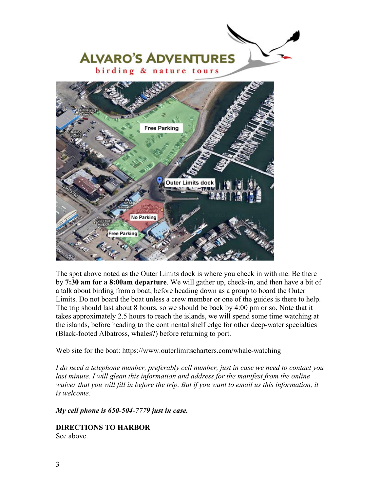

The spot above noted as the Outer Limits dock is where you check in with me. Be there by **7:30 am for a 8:00am departure**. We will gather up, check-in, and then have a bit of a talk about birding from a boat, before heading down as a group to board the Outer Limits. Do not board the boat unless a crew member or one of the guides is there to help. The trip should last about 8 hours, so we should be back by 4:00 pm or so. Note that it takes approximately 2.5 hours to reach the islands, we will spend some time watching at the islands, before heading to the continental shelf edge for other deep-water specialties (Black-footed Albatross, whales?) before returning to port.

## Web site for the boat: https://www.outerlimitscharters.com/whale-watching

*I do need a telephone number, preferably cell number, just in case we need to contact you*  last minute. I will glean this information and address for the manifest from the online *waiver that you will fill in before the trip. But if you want to email us this information, it is welcome.* 

*My cell phone is 650-504-7779 just in case.* 

**DIRECTIONS TO HARBOR**  See above.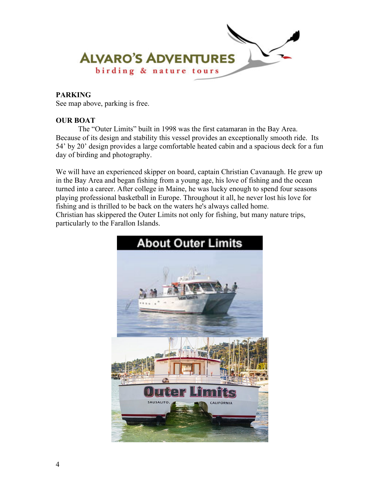

## **PARKING**

See map above, parking is free.

## **OUR BOAT**

 The "Outer Limits" built in 1998 was the first catamaran in the Bay Area. Because of its design and stability this vessel provides an exceptionally smooth ride. Its 54' by 20' design provides a large comfortable heated cabin and a spacious deck for a fun day of birding and photography.

We will have an experienced skipper on board, captain Christian Cavanaugh. He grew up in the Bay Area and began fishing from a young age, his love of fishing and the ocean turned into a career. After college in Maine, he was lucky enough to spend four seasons playing professional basketball in Europe. Throughout it all, he never lost his love for fishing and is thrilled to be back on the waters he's always called home. Christian has skippered the Outer Limits not only for fishing, but many nature trips, particularly to the Farallon Islands.

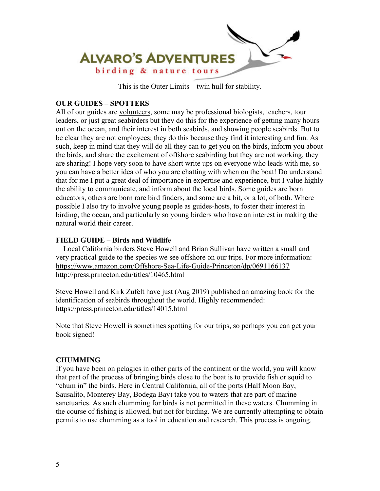

This is the Outer Limits – twin hull for stability.

# **OUR GUIDES – SPOTTERS**

All of our guides are volunteers, some may be professional biologists, teachers, tour leaders, or just great seabirders but they do this for the experience of getting many hours out on the ocean, and their interest in both seabirds, and showing people seabirds. But to be clear they are not employees; they do this because they find it interesting and fun. As such, keep in mind that they will do all they can to get you on the birds, inform you about the birds, and share the excitement of offshore seabirding but they are not working, they are sharing! I hope very soon to have short write ups on everyone who leads with me, so you can have a better idea of who you are chatting with when on the boat! Do understand that for me I put a great deal of importance in expertise and experience, but I value highly the ability to communicate, and inform about the local birds. Some guides are born educators, others are born rare bird finders, and some are a bit, or a lot, of both. Where possible I also try to involve young people as guides-hosts, to foster their interest in birding, the ocean, and particularly so young birders who have an interest in making the natural world their career.

# **FIELD GUIDE – Birds and Wildlife**

 Local California birders Steve Howell and Brian Sullivan have written a small and very practical guide to the species we see offshore on our trips. For more information: https://www.amazon.com/Offshore-Sea-Life-Guide-Princeton/dp/0691166137 http://press.princeton.edu/titles/10465.html

Steve Howell and Kirk Zufelt have just (Aug 2019) published an amazing book for the identification of seabirds throughout the world. Highly recommended: https://press.princeton.edu/titles/14015.html

Note that Steve Howell is sometimes spotting for our trips, so perhaps you can get your book signed!

## **CHUMMING**

If you have been on pelagics in other parts of the continent or the world, you will know that part of the process of bringing birds close to the boat is to provide fish or squid to "chum in" the birds. Here in Central California, all of the ports (Half Moon Bay, Sausalito, Monterey Bay, Bodega Bay) take you to waters that are part of marine sanctuaries. As such chumming for birds is not permitted in these waters. Chumming in the course of fishing is allowed, but not for birding. We are currently attempting to obtain permits to use chumming as a tool in education and research. This process is ongoing.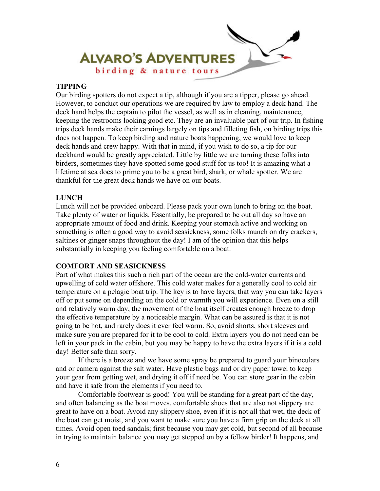

## **TIPPING**

Our birding spotters do not expect a tip, although if you are a tipper, please go ahead. However, to conduct our operations we are required by law to employ a deck hand. The deck hand helps the captain to pilot the vessel, as well as in cleaning, maintenance, keeping the restrooms looking good etc. They are an invaluable part of our trip. In fishing trips deck hands make their earnings largely on tips and filleting fish, on birding trips this does not happen. To keep birding and nature boats happening, we would love to keep deck hands and crew happy. With that in mind, if you wish to do so, a tip for our deckhand would be greatly appreciated. Little by little we are turning these folks into birders, sometimes they have spotted some good stuff for us too! It is amazing what a lifetime at sea does to prime you to be a great bird, shark, or whale spotter. We are thankful for the great deck hands we have on our boats.

#### **LUNCH**

Lunch will not be provided onboard. Please pack your own lunch to bring on the boat. Take plenty of water or liquids. Essentially, be prepared to be out all day so have an appropriate amount of food and drink. Keeping your stomach active and working on something is often a good way to avoid seasickness, some folks munch on dry crackers, saltines or ginger snaps throughout the day! I am of the opinion that this helps substantially in keeping you feeling comfortable on a boat.

## **COMFORT AND SEASICKNESS**

Part of what makes this such a rich part of the ocean are the cold-water currents and upwelling of cold water offshore. This cold water makes for a generally cool to cold air temperature on a pelagic boat trip. The key is to have layers, that way you can take layers off or put some on depending on the cold or warmth you will experience. Even on a still and relatively warm day, the movement of the boat itself creates enough breeze to drop the effective temperature by a noticeable margin. What can be assured is that it is not going to be hot, and rarely does it ever feel warm. So, avoid shorts, short sleeves and make sure you are prepared for it to be cool to cold. Extra layers you do not need can be left in your pack in the cabin, but you may be happy to have the extra layers if it is a cold day! Better safe than sorry.

 If there is a breeze and we have some spray be prepared to guard your binoculars and or camera against the salt water. Have plastic bags and or dry paper towel to keep your gear from getting wet, and drying it off if need be. You can store gear in the cabin and have it safe from the elements if you need to.

 Comfortable footwear is good! You will be standing for a great part of the day, and often balancing as the boat moves, comfortable shoes that are also not slippery are great to have on a boat. Avoid any slippery shoe, even if it is not all that wet, the deck of the boat can get moist, and you want to make sure you have a firm grip on the deck at all times. Avoid open toed sandals; first because you may get cold, but second of all because in trying to maintain balance you may get stepped on by a fellow birder! It happens, and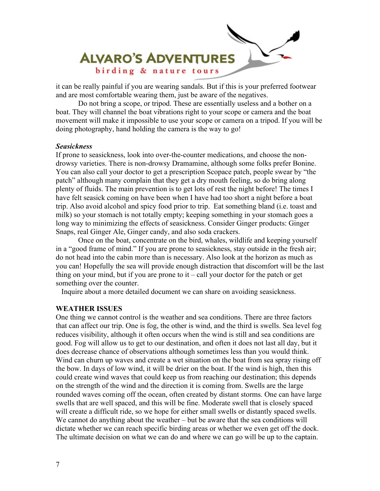

it can be really painful if you are wearing sandals. But if this is your preferred footwear and are most comfortable wearing them, just be aware of the negatives.

 Do not bring a scope, or tripod. These are essentially useless and a bother on a boat. They will channel the boat vibrations right to your scope or camera and the boat movement will make it impossible to use your scope or camera on a tripod. If you will be doing photography, hand holding the camera is the way to go!

#### *Seasickness*

If prone to seasickness, look into over-the-counter medications, and choose the nondrowsy varieties. There is non-drowsy Dramamine, although some folks prefer Bonine. You can also call your doctor to get a prescription Scopace patch, people swear by "the patch" although many complain that they get a dry mouth feeling, so do bring along plenty of fluids. The main prevention is to get lots of rest the night before! The times I have felt seasick coming on have been when I have had too short a night before a boat trip. Also avoid alcohol and spicy food prior to trip. Eat something bland (i.e. toast and milk) so your stomach is not totally empty; keeping something in your stomach goes a long way to minimizing the effects of seasickness. Consider Ginger products: Ginger Snaps, real Ginger Ale, Ginger candy, and also soda crackers.

 Once on the boat, concentrate on the bird, whales, wildlife and keeping yourself in a "good frame of mind." If you are prone to seasickness, stay outside in the fresh air; do not head into the cabin more than is necessary. Also look at the horizon as much as you can! Hopefully the sea will provide enough distraction that discomfort will be the last thing on your mind, but if you are prone to  $it - call$  your doctor for the patch or get something over the counter.

Inquire about a more detailed document we can share on avoiding seasickness.

#### **WEATHER ISSUES**

One thing we cannot control is the weather and sea conditions. There are three factors that can affect our trip. One is fog, the other is wind, and the third is swells. Sea level fog reduces visibility, although it often occurs when the wind is still and sea conditions are good. Fog will allow us to get to our destination, and often it does not last all day, but it does decrease chance of observations although sometimes less than you would think. Wind can churn up waves and create a wet situation on the boat from sea spray rising off the bow. In days of low wind, it will be drier on the boat. If the wind is high, then this could create wind waves that could keep us from reaching our destination; this depends on the strength of the wind and the direction it is coming from. Swells are the large rounded waves coming off the ocean, often created by distant storms. One can have large swells that are well spaced, and this will be fine. Moderate swell that is closely spaced will create a difficult ride, so we hope for either small swells or distantly spaced swells. We cannot do anything about the weather – but be aware that the sea conditions will dictate whether we can reach specific birding areas or whether we even get off the dock. The ultimate decision on what we can do and where we can go will be up to the captain.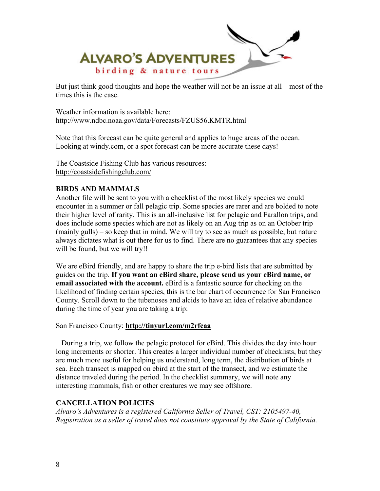

But just think good thoughts and hope the weather will not be an issue at all – most of the times this is the case.

Weather information is available here: http://www.ndbc.noaa.gov/data/Forecasts/FZUS56.KMTR.html

Note that this forecast can be quite general and applies to huge areas of the ocean. Looking at windy.com, or a spot forecast can be more accurate these days!

The Coastside Fishing Club has various resources: http://coastsidefishingclub.com/

## **BIRDS AND MAMMALS**

Another file will be sent to you with a checklist of the most likely species we could encounter in a summer or fall pelagic trip. Some species are rarer and are bolded to note their higher level of rarity. This is an all-inclusive list for pelagic and Farallon trips, and does include some species which are not as likely on an Aug trip as on an October trip (mainly gulls) – so keep that in mind. We will try to see as much as possible, but nature always dictates what is out there for us to find. There are no guarantees that any species will be found, but we will try!!

We are eBird friendly, and are happy to share the trip e-bird lists that are submitted by guides on the trip. **If you want an eBird share, please send us your eBird name, or email associated with the account.** eBird is a fantastic source for checking on the likelihood of finding certain species, this is the bar chart of occurrence for San Francisco County. Scroll down to the tubenoses and alcids to have an idea of relative abundance during the time of year you are taking a trip:

## San Francisco County: **http://tinyurl.com/m2rfcaa**

 During a trip, we follow the pelagic protocol for eBird. This divides the day into hour long increments or shorter. This creates a larger individual number of checklists, but they are much more useful for helping us understand, long term, the distribution of birds at sea. Each transect is mapped on ebird at the start of the transect, and we estimate the distance traveled during the period. In the checklist summary, we will note any interesting mammals, fish or other creatures we may see offshore.

## **CANCELLATION POLICIES**

*Alvaro's Adventures is a registered California Seller of Travel, CST: 2105497-40, Registration as a seller of travel does not constitute approval by the State of California.*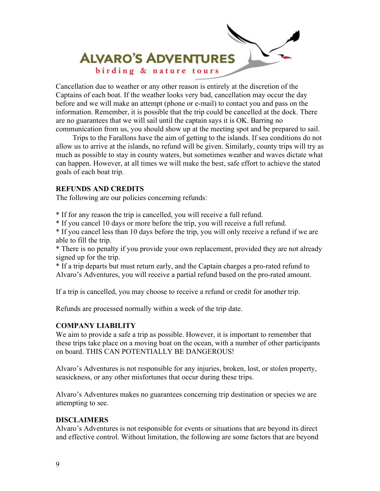

Cancellation due to weather or any other reason is entirely at the discretion of the Captains of each boat. If the weather looks very bad, cancellation may occur the day before and we will make an attempt (phone or e-mail) to contact you and pass on the information. Remember, it is possible that the trip could be cancelled at the dock. There are no guarantees that we will sail until the captain says it is OK. Barring no communication from us, you should show up at the meeting spot and be prepared to sail.

 Trips to the Farallons have the aim of getting to the islands. If sea conditions do not allow us to arrive at the islands, no refund will be given. Similarly, county trips will try as much as possible to stay in county waters, but sometimes weather and waves dictate what can happen. However, at all times we will make the best, safe effort to achieve the stated goals of each boat trip.

## **REFUNDS AND CREDITS**

The following are our policies concerning refunds:

\* If for any reason the trip is cancelled, you will receive a full refund.

\* If you cancel 10 days or more before the trip, you will receive a full refund.

\* If you cancel less than 10 days before the trip, you will only receive a refund if we are able to fill the trip.

\* There is no penalty if you provide your own replacement, provided they are not already signed up for the trip.

\* If a trip departs but must return early, and the Captain charges a pro-rated refund to Alvaro's Adventures, you will receive a partial refund based on the pro-rated amount.

If a trip is cancelled, you may choose to receive a refund or credit for another trip.

Refunds are processed normally within a week of the trip date.

## **COMPANY LIABILITY**

We aim to provide a safe a trip as possible. However, it is important to remember that these trips take place on a moving boat on the ocean, with a number of other participants on board. THIS CAN POTENTIALLY BE DANGEROUS!

Alvaro's Adventures is not responsible for any injuries, broken, lost, or stolen property, seasickness, or any other misfortunes that occur during these trips.

Alvaro's Adventures makes no guarantees concerning trip destination or species we are attempting to see.

## **DISCLAIMERS**

Alvaro's Adventures is not responsible for events or situations that are beyond its direct and effective control. Without limitation, the following are some factors that are beyond